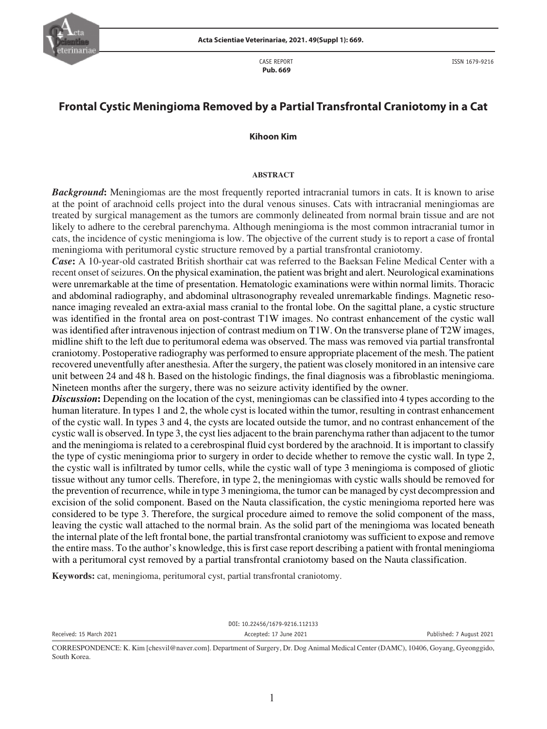

CASE REPORT  **Pub. 669**

# **Frontal Cystic Meningioma Removed by a Partial Transfrontal Craniotomy in a Cat**

#### **Kihoon Kim**

#### **ABSTRACT**

*Background*: Meningiomas are the most frequently reported intracranial tumors in cats. It is known to arise at the point of arachnoid cells project into the dural venous sinuses. Cats with intracranial meningiomas are treated by surgical management as the tumors are commonly delineated from normal brain tissue and are not likely to adhere to the cerebral parenchyma. Although meningioma is the most common intracranial tumor in cats, the incidence of cystic meningioma is low. The objective of the current study is to report a case of frontal meningioma with peritumoral cystic structure removed by a partial transfrontal craniotomy.

*Case***:** A 10-year-old castrated British shorthair cat was referred to the Baeksan Feline Medical Center with a recent onset of seizures. On the physical examination, the patient was bright and alert. Neurological examinations were unremarkable at the time of presentation. Hematologic examinations were within normal limits. Thoracic and abdominal radiography, and abdominal ultrasonography revealed unremarkable findings. Magnetic resonance imaging revealed an extra-axial mass cranial to the frontal lobe. On the sagittal plane, a cystic structure was identified in the frontal area on post-contrast T1W images. No contrast enhancement of the cystic wall was identified after intravenous injection of contrast medium on T1W. On the transverse plane of T2W images, midline shift to the left due to peritumoral edema was observed. The mass was removed via partial transfrontal craniotomy. Postoperative radiography was performed to ensure appropriate placement of the mesh. The patient recovered uneventfully after anesthesia. After the surgery, the patient was closely monitored in an intensive care unit between 24 and 48 h. Based on the histologic findings, the final diagnosis was a fibroblastic meningioma. Nineteen months after the surgery, there was no seizure activity identified by the owner.

*Discussion*: Depending on the location of the cyst, meningiomas can be classified into 4 types according to the human literature. In types 1 and 2, the whole cyst is located within the tumor, resulting in contrast enhancement of the cystic wall. In types 3 and 4, the cysts are located outside the tumor, and no contrast enhancement of the cystic wall is observed. In type 3, the cyst lies adjacent to the brain parenchyma rather than adjacent to the tumor and the meningioma is related to a cerebrospinal fluid cyst bordered by the arachnoid. It is important to classify the type of cystic meningioma prior to surgery in order to decide whether to remove the cystic wall. In type 2, the cystic wall is infiltrated by tumor cells, while the cystic wall of type 3 meningioma is composed of gliotic tissue without any tumor cells. Therefore, in type 2, the meningiomas with cystic walls should be removed for the prevention of recurrence, while in type 3 meningioma, the tumor can be managed by cyst decompression and excision of the solid component. Based on the Nauta classification, the cystic meningioma reported here was considered to be type 3. Therefore, the surgical procedure aimed to remove the solid component of the mass, leaving the cystic wall attached to the normal brain. As the solid part of the meningioma was located beneath the internal plate of the left frontal bone, the partial transfrontal craniotomy was sufficient to expose and remove the entire mass. To the author's knowledge, this is first case report describing a patient with frontal meningioma with a peritumoral cyst removed by a partial transfrontal craniotomy based on the Nauta classification.

**Keywords:** cat, meningioma, peritumoral cyst, partial transfrontal craniotomy.

DOI: 10.22456/1679-9216.112133 Received: 15 March 2021 **Accepted: 17 June 2021** Accepted: 17 June 2021 **Published: 7 August 2021** 

CORRESPONDENCE: K. Kim [chesvil@naver.com]. Department of Surgery, Dr. Dog Animal Medical Center (DAMC), 10406, Goyang, Gyeonggido, South Korea.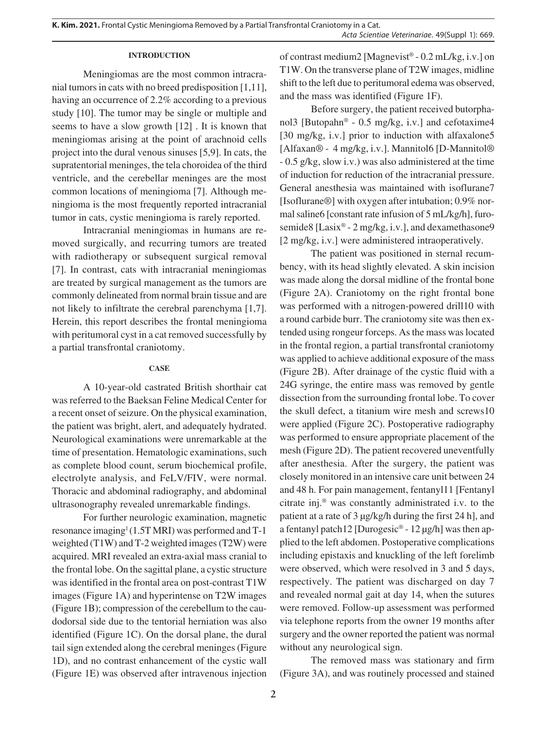**K. Kim. 2021.** Frontal Cystic Meningioma Removed by a Partial Transfrontal Craniotomy in a Cat. *Acta Scientiae Veterinariae*. 49(Suppl 1): 669.

### **INTRODUCTION**

Meningiomas are the most common intracranial tumors in cats with no breed predisposition [1,11], having an occurrence of 2.2% according to a previous study [10]. The tumor may be single or multiple and seems to have a slow growth [12] . It is known that meningiomas arising at the point of arachnoid cells project into the dural venous sinuses [5,9]. In cats, the supratentorial meninges, the tela choroidea of the third ventricle, and the cerebellar meninges are the most common locations of meningioma [7]. Although meningioma is the most frequently reported intracranial tumor in cats, cystic meningioma is rarely reported.

Intracranial meningiomas in humans are removed surgically, and recurring tumors are treated with radiotherapy or subsequent surgical removal [7]. In contrast, cats with intracranial meningiomas are treated by surgical management as the tumors are commonly delineated from normal brain tissue and are not likely to infiltrate the cerebral parenchyma [1,7]. Herein, this report describes the frontal meningioma with peritumoral cyst in a cat removed successfully by a partial transfrontal craniotomy.

#### **CASE**

A 10-year-old castrated British shorthair cat was referred to the Baeksan Feline Medical Center for a recent onset of seizure. On the physical examination, the patient was bright, alert, and adequately hydrated. Neurological examinations were unremarkable at the time of presentation. Hematologic examinations, such as complete blood count, serum biochemical profile, electrolyte analysis, and FeLV/FIV, were normal. Thoracic and abdominal radiography, and abdominal ultrasonography revealed unremarkable findings.

For further neurologic examination, magnetic resonance imaging<sup>1</sup> (1.5T MRI) was performed and T-1 weighted (T1W) and T-2 weighted images (T2W) were acquired. MRI revealed an extra-axial mass cranial to the frontal lobe. On the sagittal plane, a cystic structure was identified in the frontal area on post-contrast T1W images (Figure 1A) and hyperintense on T2W images (Figure 1B); compression of the cerebellum to the caudodorsal side due to the tentorial herniation was also identified (Figure 1C). On the dorsal plane, the dural tail sign extended along the cerebral meninges (Figure 1D), and no contrast enhancement of the cystic wall (Figure 1E) was observed after intravenous injection of contrast medium2 [Magnevist<sup>®</sup> -  $0.2$  mL/kg, i.v.] on T1W. On the transverse plane of T2W images, midline shift to the left due to peritumoral edema was observed, and the mass was identified (Figure 1F).

Before surgery, the patient received butorphanol3 [Butopahn® - 0.5 mg/kg, i.v.] and cefotaxime4 [30 mg/kg, i.v.] prior to induction with alfaxalone5 [Alfaxan® - 4 mg/kg, i.v.]. Mannitol6 [D-Mannitol® - 0.5 g/kg, slow i.v.) was also administered at the time of induction for reduction of the intracranial pressure. General anesthesia was maintained with isoflurane7 [Isoflurane®] with oxygen after intubation; 0.9% normal saline6 [constant rate infusion of 5 mL/kg/h], furosemide8 [Lasix® - 2 mg/kg, i.v.], and dexamethasone9 [2 mg/kg, i.v.] were administered intraoperatively.

The patient was positioned in sternal recumbency, with its head slightly elevated. A skin incision was made along the dorsal midline of the frontal bone (Figure 2A). Craniotomy on the right frontal bone was performed with a nitrogen-powered drill10 with a round carbide burr. The craniotomy site was then extended using rongeur forceps. As the mass was located in the frontal region, a partial transfrontal craniotomy was applied to achieve additional exposure of the mass (Figure 2B). After drainage of the cystic fluid with a 24G syringe, the entire mass was removed by gentle dissection from the surrounding frontal lobe. To cover the skull defect, a titanium wire mesh and screws10 were applied (Figure 2C). Postoperative radiography was performed to ensure appropriate placement of the mesh (Figure 2D). The patient recovered uneventfully after anesthesia. After the surgery, the patient was closely monitored in an intensive care unit between 24 and 48 h. For pain management, fentanyl11 [Fentanyl citrate inj.® was constantly administrated i.v. to the patient at a rate of 3 μg/kg/h during the first 24 h], and a fentanyl patch12 [Durogesic® - 12 µg/h] was then applied to the left abdomen. Postoperative complications including epistaxis and knuckling of the left forelimb were observed, which were resolved in 3 and 5 days, respectively. The patient was discharged on day 7 and revealed normal gait at day 14, when the sutures were removed. Follow-up assessment was performed via telephone reports from the owner 19 months after surgery and the owner reported the patient was normal without any neurological sign.

The removed mass was stationary and firm (Figure 3A), and was routinely processed and stained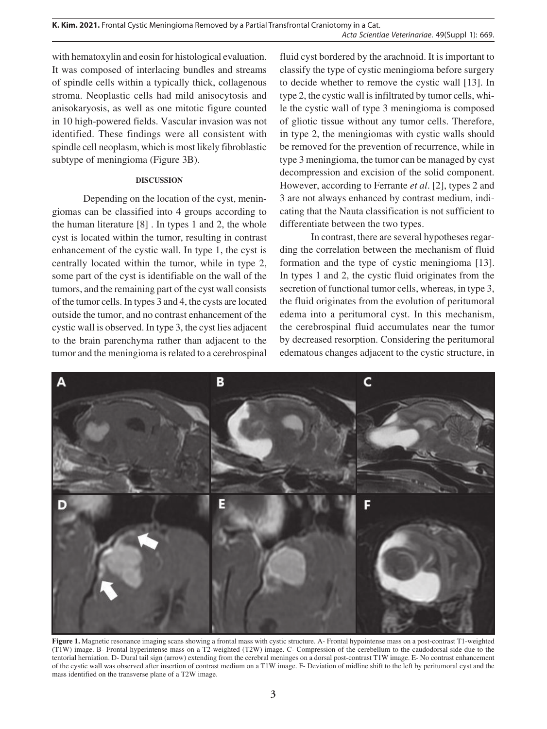with hematoxylin and eosin for histological evaluation. It was composed of interlacing bundles and streams of spindle cells within a typically thick, collagenous stroma. Neoplastic cells had mild anisocytosis and anisokaryosis, as well as one mitotic figure counted in 10 high-powered fields. Vascular invasion was not identified. These findings were all consistent with spindle cell neoplasm, which is most likely fibroblastic subtype of meningioma (Figure 3B).

## **DISCUSSION**

Depending on the location of the cyst, meningiomas can be classified into 4 groups according to the human literature [8] . In types 1 and 2, the whole cyst is located within the tumor, resulting in contrast enhancement of the cystic wall. In type 1, the cyst is centrally located within the tumor, while in type 2, some part of the cyst is identifiable on the wall of the tumors, and the remaining part of the cyst wall consists of the tumor cells. In types 3 and 4, the cysts are located outside the tumor, and no contrast enhancement of the cystic wall is observed. In type 3, the cyst lies adjacent to the brain parenchyma rather than adjacent to the tumor and the meningioma is related to a cerebrospinal

fluid cyst bordered by the arachnoid. It is important to classify the type of cystic meningioma before surgery to decide whether to remove the cystic wall [13]. In type 2, the cystic wall is infiltrated by tumor cells, while the cystic wall of type 3 meningioma is composed of gliotic tissue without any tumor cells. Therefore, in type 2, the meningiomas with cystic walls should be removed for the prevention of recurrence, while in type 3 meningioma, the tumor can be managed by cyst decompression and excision of the solid component. However, according to Ferrante *et al*. [2], types 2 and 3 are not always enhanced by contrast medium, indicating that the Nauta classification is not sufficient to differentiate between the two types.

In contrast, there are several hypotheses regarding the correlation between the mechanism of fluid formation and the type of cystic meningioma [13]. In types 1 and 2, the cystic fluid originates from the secretion of functional tumor cells, whereas, in type 3, the fluid originates from the evolution of peritumoral edema into a peritumoral cyst. In this mechanism, the cerebrospinal fluid accumulates near the tumor by decreased resorption. Considering the peritumoral edematous changes adjacent to the cystic structure, in



**Figure 1.** Magnetic resonance imaging scans showing a frontal mass with cystic structure. A- Frontal hypointense mass on a post-contrast T1-weighted (T1W) image. B- Frontal hyperintense mass on a T2-weighted (T2W) image. C- Compression of the cerebellum to the caudodorsal side due to the tentorial herniation. D- Dural tail sign (arrow) extending from the cerebral meninges on a dorsal post-contrast T1W image. E- No contrast enhancement of the cystic wall was observed after insertion of contrast medium on a T1W image. F- Deviation of midline shift to the left by peritumoral cyst and the mass identified on the transverse plane of a T2W image.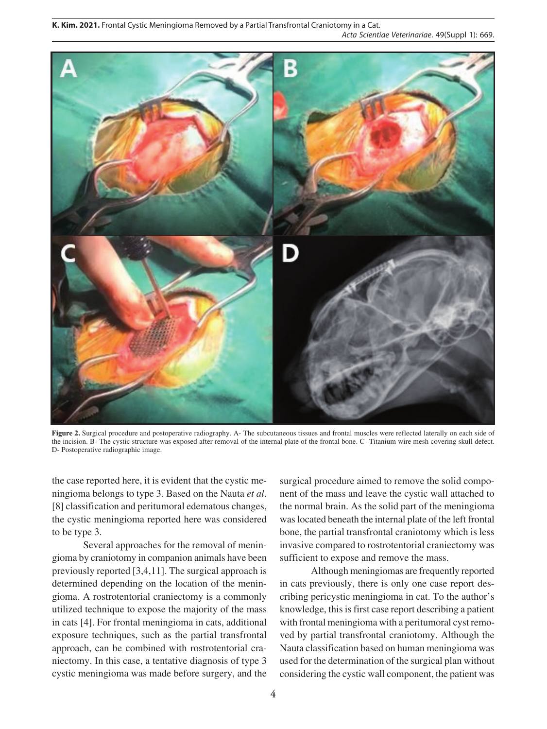**K. Kim. 2021.** Frontal Cystic Meningioma Removed by a Partial Transfrontal Craniotomy in a Cat. *Acta Scientiae Veterinariae*. 49(Suppl 1): 669.



**Figure 2.** Surgical procedure and postoperative radiography. A- The subcutaneous tissues and frontal muscles were reflected laterally on each side of the incision. B- The cystic structure was exposed after removal of the internal plate of the frontal bone. C- Titanium wire mesh covering skull defect. D- Postoperative radiographic image.

the case reported here, it is evident that the cystic meningioma belongs to type 3. Based on the Nauta *et al*. [8] classification and peritumoral edematous changes, the cystic meningioma reported here was considered to be type 3.

Several approaches for the removal of meningioma by craniotomy in companion animals have been previously reported [3,4,11]. The surgical approach is determined depending on the location of the meningioma. A rostrotentorial craniectomy is a commonly utilized technique to expose the majority of the mass in cats [4]. For frontal meningioma in cats, additional exposure techniques, such as the partial transfrontal approach, can be combined with rostrotentorial craniectomy. In this case, a tentative diagnosis of type 3 cystic meningioma was made before surgery, and the

surgical procedure aimed to remove the solid component of the mass and leave the cystic wall attached to the normal brain. As the solid part of the meningioma was located beneath the internal plate of the left frontal bone, the partial transfrontal craniotomy which is less invasive compared to rostrotentorial craniectomy was sufficient to expose and remove the mass.

Although meningiomas are frequently reported in cats previously, there is only one case report describing pericystic meningioma in cat. To the author's knowledge, this is first case report describing a patient with frontal meningioma with a peritumoral cyst removed by partial transfrontal craniotomy. Although the Nauta classification based on human meningioma was used for the determination of the surgical plan without considering the cystic wall component, the patient was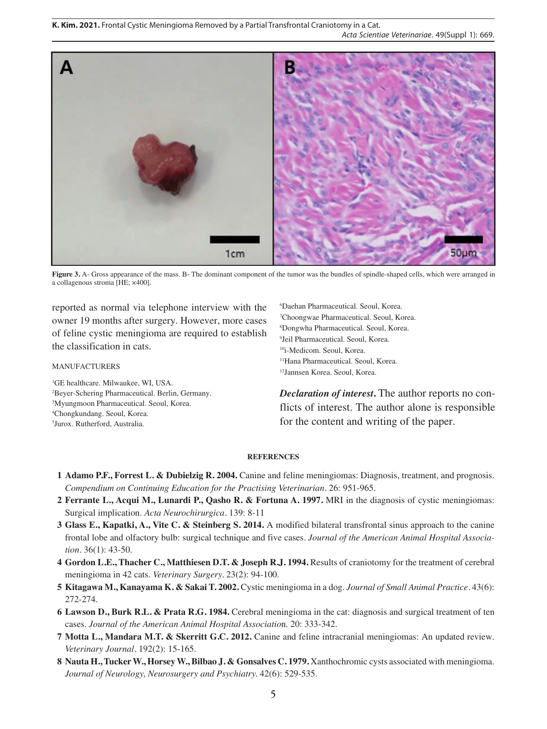

**Figure 3.** A- Gross appearance of the mass. B- The dominant component of the tumor was the bundles of spindle-shaped cells, which were arranged in a collagenous stroma [HE; ×400].

reported as normal via telephone interview with the owner 19 months after surgery. However, more cases of feline cystic meningioma are required to establish the classification in cats.

## MANUFACTURERS

 GE healthcare. Milwaukee, WI, USA. Beyer-Schering Pharmaceutical. Berlin, Germany. Myungmoon Pharmaceutical. Seoul, Korea. Chongkundang. Seoul, Korea. Jurox. Rutherford, Australia.

6 Daehan Pharmaceutical. Seoul, Korea. 7 Choongwae Pharmaceutical. Seoul, Korea. 8 Dongwha Pharmaceutical. Seoul, Korea. 9 Jeil Pharmaceutical. Seoul, Korea. 10i-Medicom. Seoul, Korea. 11Hana Pharmaceutical. Seoul, Korea. 12Jannsen Korea. Seoul, Korea.

*Declaration of interest***.** The author reports no conflicts of interest. The author alone is responsible for the content and writing of the paper.

#### **REFERENCES**

- **1 Adamo P.F., Forrest L. & Dubielzig R. 2004.** Canine and feline meningiomas: Diagnosis, treatment, and prognosis. *Compendium on Continuing Education for the Practising Veterinarian.* 26: 951-965.
- **2 Ferrante L., Acqui M., Lunardi P., Qasho R. & Fortuna A. 1997.** MRI in the diagnosis of cystic meningiomas: Surgical implication. *Acta Neurochirurgica.* 139: 8-11
- **3 Glass E., Kapatki, A., Vite C. & Steinberg S. 2014.** A modified bilateral transfrontal sinus approach to the canine frontal lobe and olfactory bulb: surgical technique and five cases. *Journal of the American Animal Hospital Association.* 36(1): 43-50.
- **4 Gordon L.E., Thacher C., Matthiesen D.T. & Joseph R.J. 1994.** Results of craniotomy for the treatment of cerebral meningioma in 42 cats. *Veterinary Surgery.* 23(2): 94-100.
- **5 Kitagawa M., Kanayama K. & Sakai T. 2002.** Cystic meningioma in a dog. *Journal of Small Animal Practice.* 43(6): 272-274.
- **6 Lawson D., Burk R.L. & Prata R.G. 1984.** Cerebral meningioma in the cat: diagnosis and surgical treatment of ten cases. *Journal of the American Animal Hospital Associatio*n. 20: 333-342.
- **7 Motta L., Mandara M.T. & Skerritt G.C. 2012.** Canine and feline intracranial meningiomas: An updated review. *Veterinary Journal.* 192(2): 15-165.
- **8 Nauta H., Tucker W., Horsey W., Bilbao J. & Gonsalves C. 1979.** Xanthochromic cysts associated with meningioma. *Journal of Neurology, Neurosurgery and Psychiatry.* 42(6): 529-535.